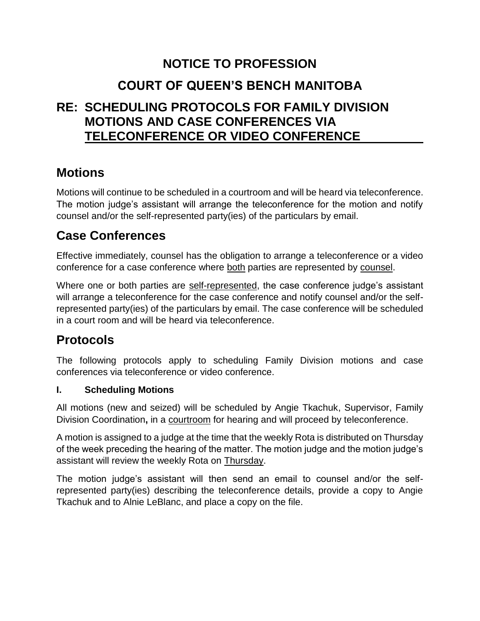## **NOTICE TO PROFESSION**

# **COURT OF QUEEN'S BENCH MANITOBA**

## **RE: SCHEDULING PROTOCOLS FOR FAMILY DIVISION MOTIONS AND CASE CONFERENCES VIA TELECONFERENCE OR VIDEO CONFERENCE**

## **Motions**

Motions will continue to be scheduled in a courtroom and will be heard via teleconference. The motion judge's assistant will arrange the teleconference for the motion and notify counsel and/or the self-represented party(ies) of the particulars by email.

## **Case Conferences**

Effective immediately, counsel has the obligation to arrange a teleconference or a video conference for a case conference where both parties are represented by counsel.

Where one or both parties are self-represented, the case conference judge's assistant will arrange a teleconference for the case conference and notify counsel and/or the selfrepresented party(ies) of the particulars by email. The case conference will be scheduled in a court room and will be heard via teleconference.

## **Protocols**

The following protocols apply to scheduling Family Division motions and case conferences via teleconference or video conference.

### **I. Scheduling Motions**

All motions (new and seized) will be scheduled by Angie Tkachuk, Supervisor, Family Division Coordination**,** in a courtroom for hearing and will proceed by teleconference.

A motion is assigned to a judge at the time that the weekly Rota is distributed on Thursday of the week preceding the hearing of the matter. The motion judge and the motion judge's assistant will review the weekly Rota on Thursday.

The motion judge's assistant will then send an email to counsel and/or the selfrepresented party(ies) describing the teleconference details, provide a copy to Angie Tkachuk and to Alnie LeBlanc, and place a copy on the file.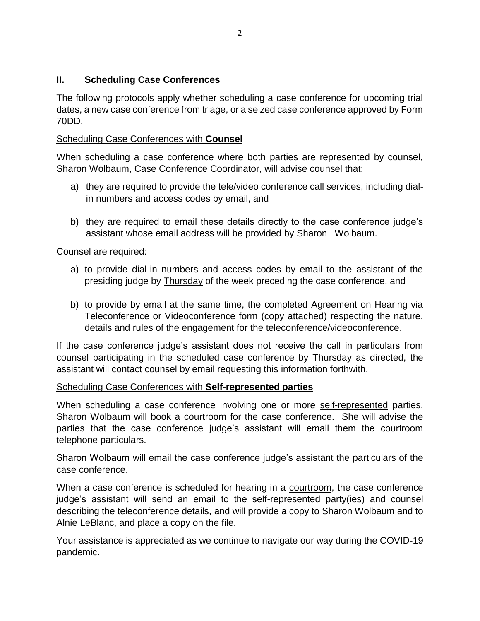### **II. Scheduling Case Conferences**

The following protocols apply whether scheduling a case conference for upcoming trial dates, a new case conference from triage, or a seized case conference approved by Form 70DD.

#### Scheduling Case Conferences with **Counsel**

When scheduling a case conference where both parties are represented by counsel, Sharon Wolbaum, Case Conference Coordinator, will advise counsel that:

- a) they are required to provide the tele/video conference call services, including dialin numbers and access codes by email, and
- b) they are required to email these details directly to the case conference judge's assistant whose email address will be provided by Sharon Wolbaum.

Counsel are required:

- a) to provide dial-in numbers and access codes by email to the assistant of the presiding judge by Thursday of the week preceding the case conference, and
- b) to provide by email at the same time, the completed Agreement on Hearing via Teleconference or Videoconference form (copy attached) respecting the nature, details and rules of the engagement for the teleconference/videoconference.

If the case conference judge's assistant does not receive the call in particulars from counsel participating in the scheduled case conference by Thursday as directed, the assistant will contact counsel by email requesting this information forthwith.

#### Scheduling Case Conferences with **Self-represented parties**

When scheduling a case conference involving one or more self-represented parties, Sharon Wolbaum will book a courtroom for the case conference. She will advise the parties that the case conference judge's assistant will email them the courtroom telephone particulars.

Sharon Wolbaum will email the case conference judge's assistant the particulars of the case conference.

When a case conference is scheduled for hearing in a courtroom, the case conference judge's assistant will send an email to the self-represented party(ies) and counsel describing the teleconference details, and will provide a copy to Sharon Wolbaum and to Alnie LeBlanc, and place a copy on the file.

Your assistance is appreciated as we continue to navigate our way during the COVID-19 pandemic.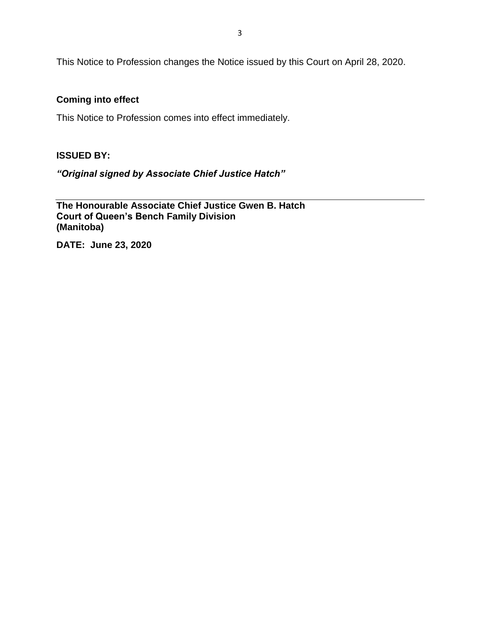This Notice to Profession changes the Notice issued by this Court on April 28, 2020.

#### **Coming into effect**

This Notice to Profession comes into effect immediately.

#### **ISSUED BY:**

*"Original signed by Associate Chief Justice Hatch"*

**The Honourable Associate Chief Justice Gwen B. Hatch Court of Queen's Bench Family Division (Manitoba)**

**DATE: June 23, 2020**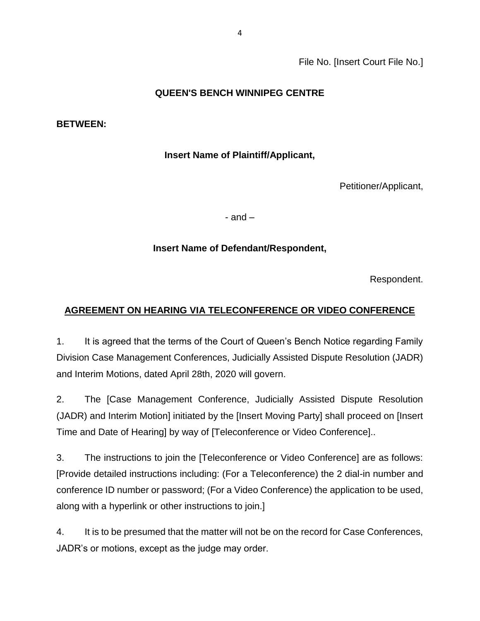File No. [Insert Court File No.]

### **QUEEN'S BENCH WINNIPEG CENTRE**

#### **BETWEEN:**

### **Insert Name of Plaintiff/Applicant,**

Petitioner/Applicant,

- and –

### **Insert Name of Defendant/Respondent,**

Respondent.

### **AGREEMENT ON HEARING VIA TELECONFERENCE OR VIDEO CONFERENCE**

1. It is agreed that the terms of the Court of Queen's Bench Notice regarding Family Division Case Management Conferences, Judicially Assisted Dispute Resolution (JADR) and Interim Motions, dated April 28th, 2020 will govern.

2. The [Case Management Conference, Judicially Assisted Dispute Resolution (JADR) and Interim Motion] initiated by the [Insert Moving Party] shall proceed on [Insert Time and Date of Hearing] by way of [Teleconference or Video Conference]..

3. The instructions to join the [Teleconference or Video Conference] are as follows: [Provide detailed instructions including: (For a Teleconference) the 2 dial-in number and conference ID number or password; (For a Video Conference) the application to be used, along with a hyperlink or other instructions to join.]

4. It is to be presumed that the matter will not be on the record for Case Conferences, JADR's or motions, except as the judge may order.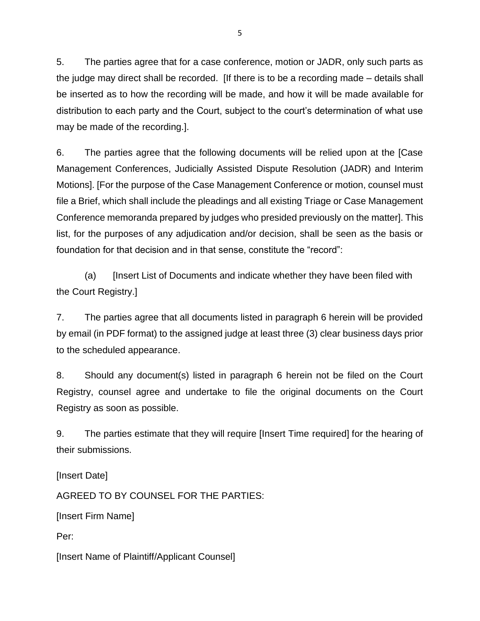5. The parties agree that for a case conference, motion or JADR, only such parts as the judge may direct shall be recorded. [If there is to be a recording made – details shall be inserted as to how the recording will be made, and how it will be made available for distribution to each party and the Court, subject to the court's determination of what use may be made of the recording.].

6. The parties agree that the following documents will be relied upon at the [Case Management Conferences, Judicially Assisted Dispute Resolution (JADR) and Interim Motions]. [For the purpose of the Case Management Conference or motion, counsel must file a Brief, which shall include the pleadings and all existing Triage or Case Management Conference memoranda prepared by judges who presided previously on the matter]. This list, for the purposes of any adjudication and/or decision, shall be seen as the basis or foundation for that decision and in that sense, constitute the "record":

(a) [Insert List of Documents and indicate whether they have been filed with the Court Registry.]

7. The parties agree that all documents listed in paragraph 6 herein will be provided by email (in PDF format) to the assigned judge at least three (3) clear business days prior to the scheduled appearance.

8. Should any document(s) listed in paragraph 6 herein not be filed on the Court Registry, counsel agree and undertake to file the original documents on the Court Registry as soon as possible.

9. The parties estimate that they will require [Insert Time required] for the hearing of their submissions.

[Insert Date]

AGREED TO BY COUNSEL FOR THE PARTIES:

[Insert Firm Name]

Per:

[Insert Name of Plaintiff/Applicant Counsel]